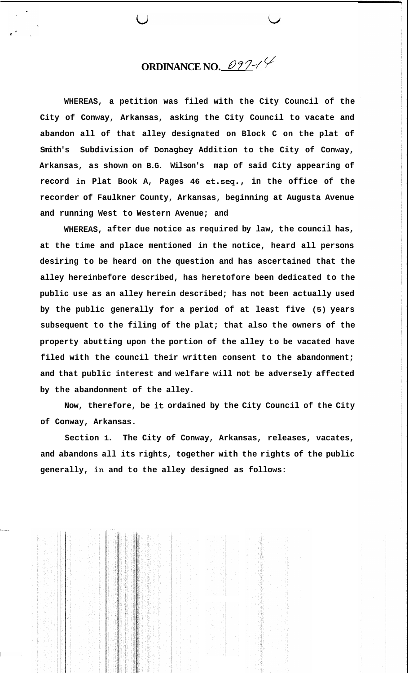**ORDINANCE NO.**  $0.977$ 

**WHEREAS, a petition was filed with the City Council of the City of Conway, Arkansas, asking the City Council to vacate and abandon all of that alley designated on Block C on the plat of Smith's Subdivision of Donaghey Addition to the City of Conway, Arkansas, as shown on B.G. Wilson's map of said City appearing of record in Plat Book A, Pages 46 et.seq., in the office of the recorder of Faulkner County, Arkansas, beginning at Augusta Avenue and running West to Western Avenue; and** 

**WHEREAS, after due notice as required by law, the council has, at the time and place mentioned in the notice, heard all persons desiring to be heard on the question and has ascertained that the alley hereinbefore described, has heretofore been dedicated to the public use as an alley herein described; has not been actually used by the public generally for a period of at least five (5) years subsequent to the filing of the plat; that also the owners of the property abutting upon the portion of the alley to be vacated have filed with the council their written consent to the abandonment; and that public interest and welfare will not be adversely affected by the abandonment of the alley.** 

**Now, therefore, be it ordained by the City Council of the City of Conway, Arkansas.** 

**Section 1. The City of Conway, Arkansas, releases, vacates, and abandons all its rights, together with the rights of the public generally, in and to the alley designed as follows:**